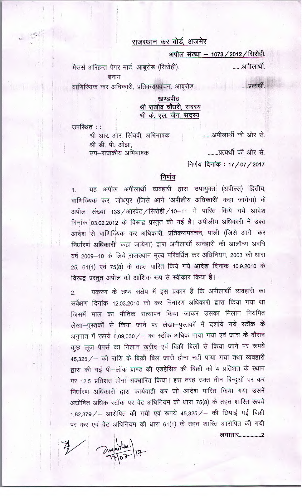# राजस्थान कर बोर्ड, अजमेर

अपील संख्या - 1073 / 2012 / सिरोही.

......अपीलार्थी. मैसर्स अरिहन्त पेपर मार्ट, आबूरोड़ (सिरोही). बनाम

वाणिज्यिक कर अधिकारी, प्रतिकरापवंचन, आबूरोड़.

......प्रत्यर्थी.

# खण्डपीठ श्री राजीव चौधरी, सदस्य श्री के. एल. जैन, सदस्य

उपस्थित ::

श्री आर. आर. सिंघवी, अभिभाषक श्री डी. पी. ओझा. सप—राजकीय अभिभाषक

........प्रत्यर्थी की ओर से.

.......आपीलार्थी की ओर से.

निर्णय दिनांक: 17/07/2017

### निर्णय

यह अपील अपीलार्थी व्यवहारी द्वारा उपायुक्त (अपील्स) द्वितीय,  $1.$ वाणिज्यिक कर, जोधपुर (जिसे आगे 'अपीलीय अधिकारी' कहा जायेगा) के अपील संख्या 133/आरवेट/सिरोही/10-11 में पारित किये गये आदेश दिनांक 03.02.2012 के विरूद्ध प्रस्तुत की गई है। अपीलीय अधिकारी ने उक्त आदेश से वाणिज्यिक कर अधिकारी, प्रतिकरापवंचन, पाली (जिसे आगे 'कर निर्धारण अधिकारी' कहा जायेगा) द्वारा अपीलार्थी व्यवहारी की आलौच्य अवधि वर्ष 2009-10 के लिये राजस्थान मूल्य परिवर्धित कर अधिनियम, 2003 की धारा 25, 61(1) एवं 75(8) के तहत पारित किये गये आदेश दिनांक 10.9.2010 के विरूद्ध प्रस्तुत अपील को आंशिक रूप से स्वीकार किया है।

प्रकरण के तथ्य संक्षेप में इस प्रकार हैं कि अपीलार्थी व्यवहारी का  $\overline{2}$ . सर्वेक्षण दिनांक 12.03.2010 को कर निर्धारण अधिकारी द्वारा किया गया था जिसमें माल का भौतिक सत्यापन किया जाकर उसका मिलान नियमित लेखा-पुस्तकों से किया जाने पर लेखा-पुस्तकों में दशाये गये स्टॉक के अनुपात में रूपये 6,09,030 / - का स्टॉक अधिक पाया गया एवं जांच के दौरान कुछ लूज पेपर्स का मिलान खरीद एवं बिक्री बिलों से किया जाने पर रूपये 45,325 / - की राशि के बिक्री बिल जारी होना नहीं पाया गया तथा व्यवहारी द्वारा की गई पी-लॉक ब्राण्ड की एडहेसिव की बिक्री को 4 प्रतिशत के स्थान पर 12.5 प्रतिशत होना अवधारित किया। इस तरह उक्त तीन बिन्दुओं पर कर निर्धारण अधिकारी द्वारा कार्यवाही कर जो आदेश पारित किया गया उसमें अघोषित अधिक स्टॉक पर वेट अधिनियम की धारा 75(8) के तहत शारित रूपये 1,82,379 / - आरोपित की गयी एवं रूपये 45,325 / - की छिपाई गई बिक्री पर कर एवं वेट अधिनियम की धारा 61(1) के तहत शारित आरोपित की गयी लगातार..................2

amprillen /17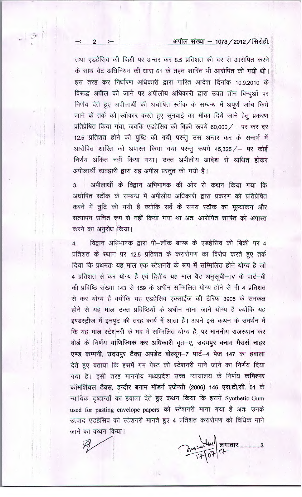#### अपील संख्या – 1073 / 2012 / सिरोही.

तथा एडहेसिव की बिक्री पर अन्तर कर 8.5 प्रतिशत की दर से आरोपित करने के साथ वेट अधिनियम की धारा 61 के तहत शारित भी आरोपित की गयी थी। इस तरह कर निर्धारण अधिकारी द्वारा पारित आदेश दिनांक 10.9.2010 के विरूद्ध अपील की जाने पर अपीलीय अधिकारी द्वारा उक्त तीन बिन्दुओं पर निर्णय देते हुए अपीलार्थी की अघोषित स्टॉक के सम्बन्ध में अपूर्ण जांच किये जाने के तर्क को स्वीकार करते हुए सुनवाई का मौका दिये जाने हेतु प्रकरण प्रतिप्रेषित किया गया, जबकि एडहेसिव की बिक्री रूपये 60,000/- पर कर दर 12.5 प्रतिशत होने की पुष्टि की गयी परन्तु उस अन्तर कर के सन्दर्भ में आरोपित शास्ति को अपास्त किया गया परन्तु रूपये 45,325 / – पर कोई निर्णय अंकित नहीं किया गया। उक्त अपीलीय आदेश से व्यथित होकर अपीलार्थी व्यवहारी द्वारा यह अपील प्रस्तुत की गयी है।

अपीलार्थी के विद्वान अभिभाषक की ओर से कथन किया गया कि  $3.$ अघोषित स्टॉक के सम्बन्ध में अपीलीय अधिकारी द्वारा प्रकरण को प्रतिप्रेषित करने में त्रूटि की गयी है क्योंकि सर्वे के समय स्टॉक का मूल्यांकन और सत्यापन उचित रूप से नहीं किया गया था अतः आरोपित शास्ति को अपास्त करने का अनुरोध किया।

विद्वान अभिभाषक द्वारा पी-लॉक ब्राण्ड के एडहेसिव की बिक्री पर 4  $\overline{4}$ . प्रतिशत के स्थान पर 12.5 प्रतिशत के करारोपण का विरोध करते हुए तर्क दिया कि प्रथमतः यह माल एक स्टेशनरी के रूप में सम्मिलित होने योग्य है जो 4 प्रतिशत से कर योग्य है एवं द्वितीय यह माल वैट अनुसूची-IV के पार्ट-बी की प्रविष्ठि संख्या 143 से 159 के अधीन सम्मिलित योग्य होने से भी 4 प्रतिशत से कर योग्य है क्योंकि यह एडहेसिव एक्साईज की टैरिफ 3905 के समकक्ष होने से यह माल उक्त प्रविष्ठियों के अधीन माना जाने योग्य है क्योंकि यह इण्डस्ट्रीज में इनपुट की तरह कार्य में आता है। अपने इस कथन के समर्थन में कि यह माल स्टेशनरी के मद में सम्मिलित योग्य है, पर माननीय राजस्थान कर बोर्ड के निर्णय वाणिज्यिक कर अधिकारी वृत-ए, उदयपुर बनाम मैसर्स नाहर एण्ड कम्पनी, उदयपुर टैक्स अपडेट वोल्यूम-7 पार्ट-4 पेज 147 का हवाला देते हुए बताया कि इसमें गम पेस्ट को स्टेशनरी माने जाने का निर्णय दिया गया है। इसी तरह माननीय मध्यप्रदेश उच्च न्यायालय के निर्णय **कमिश्नर** कॉमर्शियल टैक्स, इन्दौर बनाम मॉडर्न एजेन्सी (2006) 146 एस.टी.सी. 01 के न्यायिक दृष्टान्तों का हवाला देते हुए कथन किया कि इसमें Synthetic Gum used for pasting envelope papers को स्टेशनरी माना गया है अतः उनके उत्पाद एडहेसिव को स्टेशनरी मानते हुए 4 प्रतिशत करारोपण को विधिक माने जाने का कथन किया।

2 241 07 17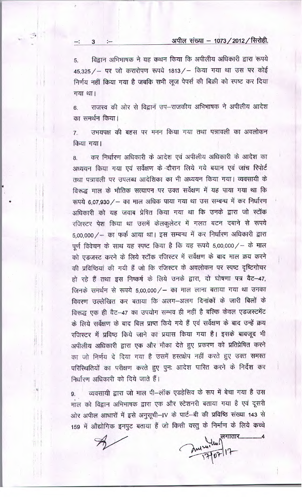## अपील संख्या - 1073 / 2012 / सिरोही.

विद्वान अभिभाषक ने यह कथन किया कि अपीलीय अधिकारी द्वारा रूपये 5. 45,325 / – पर जो करारोपण रूपये 1813 / – किया गया था उस पर कोई निर्णय नहीं किया गया है जबकि सभी लूज पेपर्स की बिक्री को स्पष्ट कर दिया गया था।

3

राजस्व की ओर से विद्वान उप-राजकीय अभिभाषक ने अपीलीय आदेश 6. का समर्थन किया।

उभयपक्ष की बहस पर मनन किया गया तथा पत्रावली का अवलोकन  $7.$ किया गया।

कर निर्धारण अधिकारी के आदेश एवं अपीलीय अधिकारी के आदेश का 8. अध्ययन किया गया एवं सर्वेक्षण के दौरान लिये गये बयान एवं जांच रिपोर्ट तथा पत्रावली पर उपलब्ध आदेशिका का भी अध्ययन किया गया। व्यवसायी के विरूद्ध माल के भौतिक सत्यापन पर उक्त सर्वेक्षण में यह पाया गया था कि रूपये 6,07,930 / - का माल अधिक पाया गया था उस सम्बन्ध में कर निर्धारण अधिकारी को यह जवाब प्रेषित किया गया था कि उनके द्वारा जो स्टॉक रजिस्टर पेश किया था उसमें केलकुलेटर में गलत बटन दबाने से रूपये 5,00,000/ - का फर्क आया था। इस सम्बन्ध में कर निर्धारण अधिकारी द्वारा पूर्ण विवेचन के साथ यह स्पष्ट किया है कि यह रूपये 5,00,000/ – के माल को एडजस्ट करने के लिये स्टॉक रजिस्टर में सर्वेक्षण के बाद माल क्रय करने की प्रविष्ठियां की गयी हैं जो कि रजिस्टर के अवलोकन पर स्पष्ट दृष्टिगोचर हो रहे हैं तथा इस निष्कर्ष के लिये उनके द्वारा, दो घोषणा पत्र वैट-47, जिनके समर्थन से रूपये 5,00,000/ – का माल लाना बताया गया था उनका विवरण उल्लेखित कर बताया कि अलग-अलग दिनांकों के जारी बिलों के विरूद्ध एक ही वैट-47 का उपयोग सम्भव ही नहीं है बल्कि केवल एडजस्टमेंट के लिये सर्वेक्षण के बाद बिल प्राप्त किये गये हैं एवं सर्वेक्षण के बाद उन्हें क्रय रजिस्टर में प्रविष्ठ किये जाने का प्रयास किया गया है। इसके बावजूद भी अपीलीय अधिकारी द्वारा एक और मौका देते हुए प्रकरण को प्रतिप्रेषित करने का जो निर्णय दे दिया गया है उसमें हस्तक्षेप नहीं करते हुए उक्त समस्त परिस्थितियों का परीक्षण करते हुए पुनः आदेश पारित करने के निर्देश कर निर्धारण अधिकारी को दिये जाते हैं।

व्यवसायी द्वारा जो माल पी-लॉक एडहेसिव के रूप में बेचा गया है उस  $9.$ माल को विद्वान अभिभाषक द्वारा एक और स्टेशनरी बताया गया है एवं दूसरी ओर अपील आधारों में इसे अनुसूची-IV के पार्ट-बी की प्रविष्ठि संख्या 143 से 159 में औद्योगिक इनपुट बताया हैं जो किसी वस्तु के निर्माण के लिये कच्चे

Andrew Principal 17